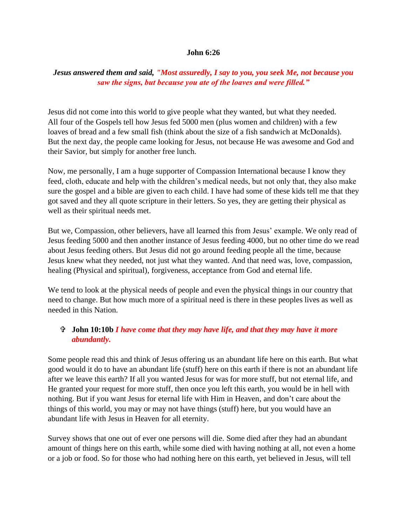## **John 6:26**

## *Jesus answered them and said, "Most assuredly, I say to you, you seek Me, not because you saw the signs, but because you ate of the loaves and were filled."*

Jesus did not come into this world to give people what they wanted, but what they needed. All four of the Gospels tell how Jesus fed 5000 men (plus women and children) with a few loaves of bread and a few small fish (think about the size of a fish sandwich at McDonalds). But the next day, the people came looking for Jesus, not because He was awesome and God and their Savior, but simply for another free lunch.

Now, me personally, I am a huge supporter of Compassion International because I know they feed, cloth, educate and help with the children's medical needs, but not only that, they also make sure the gospel and a bible are given to each child. I have had some of these kids tell me that they got saved and they all quote scripture in their letters. So yes, they are getting their physical as well as their spiritual needs met.

But we, Compassion, other believers, have all learned this from Jesus' example. We only read of Jesus feeding 5000 and then another instance of Jesus feeding 4000, but no other time do we read about Jesus feeding others. But Jesus did not go around feeding people all the time, because Jesus knew what they needed, not just what they wanted. And that need was, love, compassion, healing (Physical and spiritual), forgiveness, acceptance from God and eternal life.

We tend to look at the physical needs of people and even the physical things in our country that need to change. But how much more of a spiritual need is there in these peoples lives as well as needed in this Nation.

## **John 10:10b** *I have come that they may have life, and that they may have it more abundantly.*

Some people read this and think of Jesus offering us an abundant life here on this earth. But what good would it do to have an abundant life (stuff) here on this earth if there is not an abundant life after we leave this earth? If all you wanted Jesus for was for more stuff, but not eternal life, and He granted your request for more stuff, then once you left this earth, you would be in hell with nothing. But if you want Jesus for eternal life with Him in Heaven, and don't care about the things of this world, you may or may not have things (stuff) here, but you would have an abundant life with Jesus in Heaven for all eternity.

Survey shows that one out of ever one persons will die. Some died after they had an abundant amount of things here on this earth, while some died with having nothing at all, not even a home or a job or food. So for those who had nothing here on this earth, yet believed in Jesus, will tell